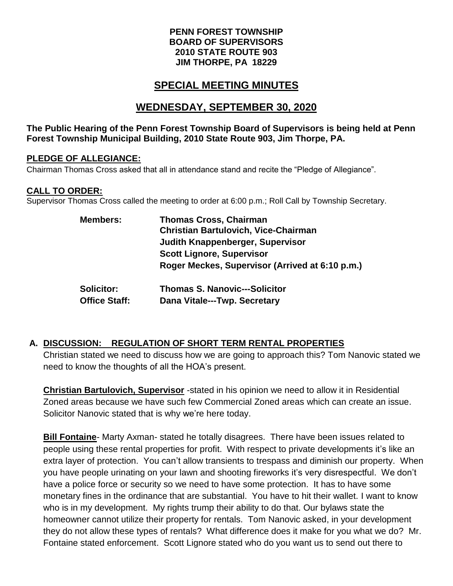#### **PENN FOREST TOWNSHIP BOARD OF SUPERVISORS 2010 STATE ROUTE 903 JIM THORPE, PA 18229**

# **SPECIAL MEETING MINUTES**

## **WEDNESDAY, SEPTEMBER 30, 2020**

#### **The Public Hearing of the Penn Forest Township Board of Supervisors is being held at Penn Forest Township Municipal Building, 2010 State Route 903, Jim Thorpe, PA.**

#### **PLEDGE OF ALLEGIANCE:**

Chairman Thomas Cross asked that all in attendance stand and recite the "Pledge of Allegiance".

#### **CALL TO ORDER:**

Supervisor Thomas Cross called the meeting to order at 6:00 p.m.; Roll Call by Township Secretary.

| <b>Members:</b>      | <b>Thomas Cross, Chairman</b>                   |
|----------------------|-------------------------------------------------|
|                      | <b>Christian Bartulovich, Vice-Chairman</b>     |
|                      | Judith Knappenberger, Supervisor                |
|                      | <b>Scott Lignore, Supervisor</b>                |
|                      | Roger Meckes, Supervisor (Arrived at 6:10 p.m.) |
| <b>Solicitor:</b>    | <b>Thomas S. Nanovic---Solicitor</b>            |
| <b>Office Staff:</b> | Dana Vitale---Twp. Secretary                    |

### **A. DISCUSSION: REGULATION OF SHORT TERM RENTAL PROPERTIES**

Christian stated we need to discuss how we are going to approach this? Tom Nanovic stated we need to know the thoughts of all the HOA's present.

**Christian Bartulovich, Supervisor** -stated in his opinion we need to allow it in Residential Zoned areas because we have such few Commercial Zoned areas which can create an issue. Solicitor Nanovic stated that is why we're here today.

**Bill Fontaine**- Marty Axman- stated he totally disagrees. There have been issues related to people using these rental properties for profit. With respect to private developments it's like an extra layer of protection. You can't allow transients to trespass and diminish our property. When you have people urinating on your lawn and shooting fireworks it's very disrespectful. We don't have a police force or security so we need to have some protection. It has to have some monetary fines in the ordinance that are substantial. You have to hit their wallet. I want to know who is in my development. My rights trump their ability to do that. Our bylaws state the homeowner cannot utilize their property for rentals. Tom Nanovic asked, in your development they do not allow these types of rentals? What difference does it make for you what we do? Mr. Fontaine stated enforcement. Scott Lignore stated who do you want us to send out there to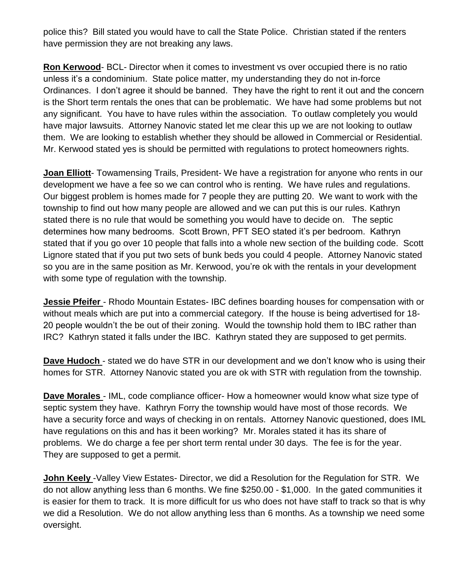police this? Bill stated you would have to call the State Police. Christian stated if the renters have permission they are not breaking any laws.

**Ron Kerwood**- BCL- Director when it comes to investment vs over occupied there is no ratio unless it's a condominium. State police matter, my understanding they do not in-force Ordinances. I don't agree it should be banned. They have the right to rent it out and the concern is the Short term rentals the ones that can be problematic. We have had some problems but not any significant. You have to have rules within the association. To outlaw completely you would have major lawsuits. Attorney Nanovic stated let me clear this up we are not looking to outlaw them. We are looking to establish whether they should be allowed in Commercial or Residential. Mr. Kerwood stated yes is should be permitted with regulations to protect homeowners rights.

**Joan Elliott**- Towamensing Trails, President- We have a registration for anyone who rents in our development we have a fee so we can control who is renting. We have rules and regulations. Our biggest problem is homes made for 7 people they are putting 20. We want to work with the township to find out how many people are allowed and we can put this is our rules. Kathryn stated there is no rule that would be something you would have to decide on. The septic determines how many bedrooms. Scott Brown, PFT SEO stated it's per bedroom. Kathryn stated that if you go over 10 people that falls into a whole new section of the building code. Scott Lignore stated that if you put two sets of bunk beds you could 4 people. Attorney Nanovic stated so you are in the same position as Mr. Kerwood, you're ok with the rentals in your development with some type of regulation with the township.

**Jessie Pfeifer** - Rhodo Mountain Estates- IBC defines boarding houses for compensation with or without meals which are put into a commercial category. If the house is being advertised for 18- 20 people wouldn't the be out of their zoning. Would the township hold them to IBC rather than IRC? Kathryn stated it falls under the IBC. Kathryn stated they are supposed to get permits.

**Dave Hudoch** - stated we do have STR in our development and we don't know who is using their homes for STR. Attorney Nanovic stated you are ok with STR with regulation from the township.

**Dave Morales** - IML, code compliance officer- How a homeowner would know what size type of septic system they have. Kathryn Forry the township would have most of those records. We have a security force and ways of checking in on rentals. Attorney Nanovic questioned, does IML have regulations on this and has it been working? Mr. Morales stated it has its share of problems. We do charge a fee per short term rental under 30 days. The fee is for the year. They are supposed to get a permit.

**John Keely** -Valley View Estates- Director, we did a Resolution for the Regulation for STR. We do not allow anything less than 6 months. We fine \$250.00 - \$1,000. In the gated communities it is easier for them to track. It is more difficult for us who does not have staff to track so that is why we did a Resolution. We do not allow anything less than 6 months. As a township we need some oversight.